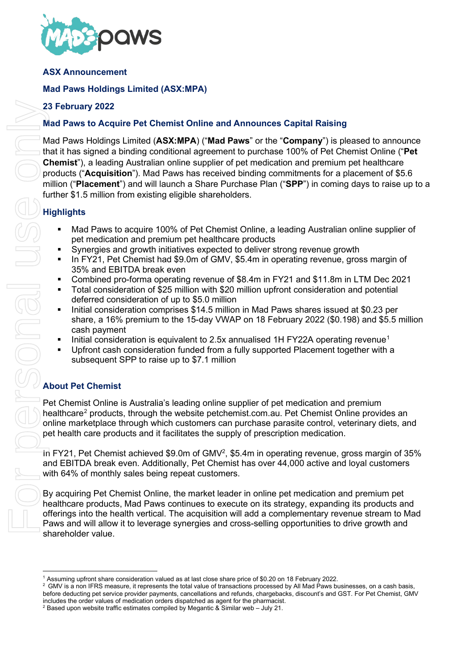

## **ASX Announcement**

# **Mad Paws Holdings Limited (ASX:MPA)**

## **23 February 2022**

## **Mad Paws to Acquire Pet Chemist Online and Announces Capital Raising**

Mad Paws Holdings Limited (**ASX:MPA**) ("**Mad Paws**" or the "**Company**") is pleased to announce that it has signed a binding conditional agreement to purchase 100% of Pet Chemist Online ("**Pet Chemist**"), a leading Australian online supplier of pet medication and premium pet healthcare products ("**Acquisition**"). Mad Paws has received binding commitments for a placement of \$5.6 million ("**Placement**") and will launch a Share Purchase Plan ("**SPP**") in coming days to raise up to a further \$1.5 million from existing eligible shareholders.

# **Highlights**

- Mad Paws to acquire 100% of Pet Chemist Online, a leading Australian online supplier of pet medication and premium pet healthcare products
- Synergies and growth initiatives expected to deliver strong revenue growth
- In FY21, Pet Chemist had \$9.0m of GMV, \$5.4m in operating revenue, gross margin of 35% and EBITDA break even
- Combined pro-forma operating revenue of \$8.4m in FY21 and \$11.8m in LTM Dec 2021
- Total consideration of \$25 million with \$20 million upfront consideration and potential deferred consideration of up to \$5.0 million
- Initial consideration comprises \$14.5 million in Mad Paws shares issued at \$0.23 per share, a 16% premium to the 15-day VWAP on 18 February 2022 (\$0.198) and \$5.5 million cash payment
- Initial consideration is equivalent to 2.5x annualised [1](#page-0-0)H FY22A operating revenue<sup>1</sup>
- Upfront cash consideration funded from a fully supported Placement together with a subsequent SPP to raise up to \$7.1 million

Pet Chemist Online is Australia's leading online supplier of pet medication and premium healthcare<sup>[2](#page-0-1)</sup> products, through the website petchemist.com.au. Pet Chemist Online provides an online marketplace through which customers can purchase parasite control, veterinary diets, and pet health care products and it facilitates the supply of prescription medication.

In FY21, Pet Chemist achieved \$9.0m of GMV<sup>2</sup>, \$5.4m in operating revenue, gross margin of 35% and EBITDA break even. Additionally, Pet Chemist has over 44,000 active and loyal customers with 64% of monthly sales being repeat customers.

By acquiring Pet Chemist Online, the market leader in online pet medication and premium pet healthcare products, Mad Paws continues to execute on its strategy, expanding its products and offerings into the health vertical. The acquisition will add a complementary revenue stream to Mad Paws and will allow it to leverage synergies and cross-selling opportunities to drive growth and shareholder value.

<sup>1</sup> Assuming upfront share consideration valued as at last close share price of \$0.20 on 18 February 2022.

<span id="page-0-0"></span><sup>&</sup>lt;sup>2</sup> GMV is a non IFRS measure, it represents the total value of transactions processed by All Mad Paws businesses, on a cash basis, before deducting pet service provider payments, cancellations and refunds, chargebacks, discount's and GST. For Pet Chemist, GMV includes the order values of medication orders dispatched as agent for the pharmacist.

<span id="page-0-1"></span>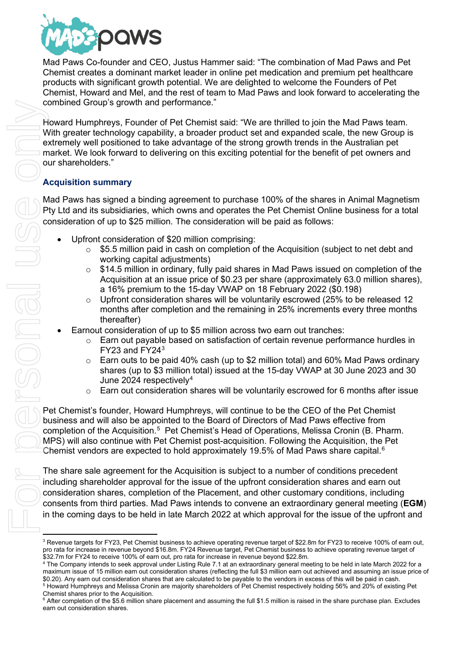

Mad Paws Co-founder and CEO, Justus Hammer said: "The combination of Mad Paws and Pet Chemist creates a dominant market leader in online pet medication and premium pet healthcare products with significant growth potential. We are delighted to welcome the Founders of Pet Chemist, Howard and Mel, and the rest of team to Mad Paws and look forward to accelerating the combined Group's growth and performance."

Howard Humphreys, Founder of Pet Chemist said: "We are thrilled to join the Mad Paws team. With greater technology capability, a broader product set and expanded scale, the new Group is extremely well positioned to take advantage of the strong growth trends in the Australian pet market. We look forward to delivering on this exciting potential for the benefit of pet owners and our shareholders."

## **Acquisition summary**

Mad Paws has signed a binding agreement to purchase 100% of the shares in Animal Magnetism Pty Ltd and its subsidiaries, which owns and operates the Pet Chemist Online business for a total consideration of up to \$25 million. The consideration will be paid as follows:

- Upfront consideration of \$20 million comprising:
	- $\circ$  \$5.5 million paid in cash on completion of the Acquisition (subject to net debt and working capital adjustments)
	- $\circ$  \$14.5 million in ordinary, fully paid shares in Mad Paws issued on completion of the Acquisition at an issue price of \$0.23 per share (approximately 63.0 million shares), a 16% premium to the 15-day VWAP on 18 February 2022 (\$0.198)
	- o Upfront consideration shares will be voluntarily escrowed (25% to be released 12 months after completion and the remaining in 25% increments every three months thereafter)
- Earnout consideration of up to \$5 million across two earn out tranches:
	- $\circ$  Earn out payable based on satisfaction of certain revenue performance hurdles in FY23 and FY24[3](#page-1-0)
	- o Earn outs to be paid 40% cash (up to \$2 million total) and 60% Mad Paws ordinary shares (up to \$3 million total) issued at the 15-day VWAP at 30 June 2023 and 30 June 202[4](#page-1-1) respectively $4$
	- $\circ$  Earn out consideration shares will be voluntarily escrowed for 6 months after issue

Pet Chemist's founder, Howard Humphreys, will continue to be the CEO of the Pet Chemist business and will also be appointed to the Board of Directors of Mad Paws effective from completion of the Acquisition.<sup>[5](#page-1-2)</sup> Pet Chemist's Head of Operations, Melissa Cronin (B. Pharm. MPS) will also continue with Pet Chemist post-acquisition. Following the Acquisition, the Pet Chemist vendors are expected to hold approximately 19.5% of Mad Paws share capital.<sup>[6](#page-1-3)</sup>

The share sale agreement for the Acquisition is subject to a number of conditions precedent including shareholder approval for the issue of the upfront consideration shares and earn out consideration shares, completion of the Placement, and other customary conditions, including consents from third parties. Mad Paws intends to convene an extraordinary general meeting (**EGM**) in the coming days to be held in late March 2022 at which approval for the issue of the upfront and

<span id="page-1-0"></span><sup>&</sup>lt;sup>3</sup> Revenue targets for FY23, Pet Chemist business to achieve operating revenue target of \$22.8m for FY23 to receive 100% of earn out, pro rata for increase in revenue beyond \$16.8m. FY24 Revenue target, Pet Chemist business to achieve operating revenue target of ู้<br>\$32.7m for FY24 to receive 100% of earn out, pro rata for increase in revenue beyond \$22.8m.<br><sup>4</sup> The Company intends to seek approval under Listing Rule 7.1 at an extraordinary general meeting to be held in late March

<span id="page-1-1"></span>maximum issue of 15 million earn out consideration shares (reflecting the full \$3 million earn out achieved and assuming an issue price of \$0.20). Any earn out consideration shares that are calculated to be payable to the vendors in excess of this will be paid in cash.<br><sup>5</sup> Howard Humphreys and Melissa Cronin are majority shareholders of Pet Chemist respective

<span id="page-1-3"></span><span id="page-1-2"></span><sup>&</sup>lt;sup>6</sup> After completion of the \$5.6 million share placement and assuming the full \$1.5 million is raised in the share purchase plan. Excludes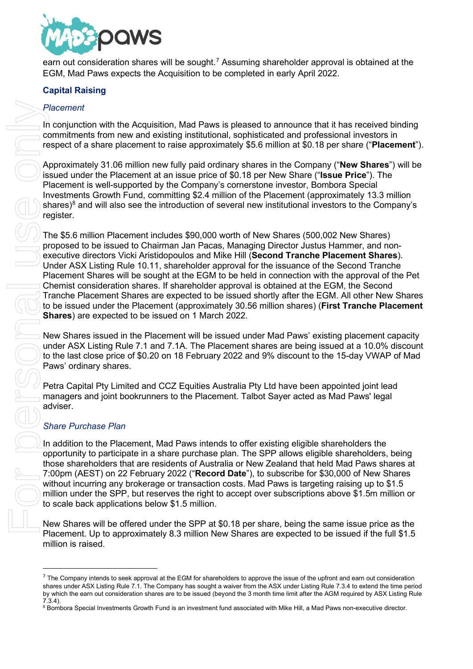

earn out consideration shares will be sought.<sup>[7](#page-2-0)</sup> Assuming shareholder approval is obtained at the EGM, Mad Paws expects the Acquisition to be completed in early April 2022.

## **Capital Raising**

## *Placement*

In conjunction with the Acquisition, Mad Paws is pleased to announce that it has received binding commitments from new and existing institutional, sophisticated and professional investors in respect of a share placement to raise approximately \$5.6 million at \$0.18 per share ("**Placement**").

Approximately 31.06 million new fully paid ordinary shares in the Company ("**New Shares**") will be issued under the Placement at an issue price of \$0.18 per New Share ("**Issue Price**"). The Placement is well-supported by the Company's cornerstone investor, Bombora Special Investments Growth Fund, committing \$2.4 million of the Placement (approximately 13.3 million shares)<sup>[8](#page-2-1)</sup> and will also see the introduction of several new institutional investors to the Company's register.

The \$5.6 million Placement includes \$90,000 worth of New Shares (500,002 New Shares) proposed to be issued to Chairman Jan Pacas, Managing Director Justus Hammer, and nonexecutive directors Vicki Aristidopoulos and Mike Hill (**Second Tranche Placement Shares**). Under ASX Listing Rule 10.11, shareholder approval for the issuance of the Second Tranche Placement Shares will be sought at the EGM to be held in connection with the approval of the Pet Chemist consideration shares. If shareholder approval is obtained at the EGM, the Second Tranche Placement Shares are expected to be issued shortly after the EGM. All other New Shares to be issued under the Placement (approximately 30.56 million shares) (**First Tranche Placement Shares**) are expected to be issued on 1 March 2022. Flacement<br>
In compute with the Acquisition, Mat Paws is plassed to ammount of the state of more and extracted with computed and poles<br>
Microsoft Case of the Richard Institute Mike Mike Hill, and ordinary shares in the Comp

New Shares issued in the Placement will be issued under Mad Paws' existing placement capacity under ASX Listing Rule 7.1 and 7.1A. The Placement shares are being issued at a 10.0% discount to the last close price of \$0.20 on 18 February 2022 and 9% discount to the 15-day VWAP of Mad Paws' ordinary shares.

Petra Capital Pty Limited and CCZ Equities Australia Pty Ltd have been appointed joint lead managers and joint bookrunners to the Placement. Talbot Sayer acted as Mad Paws' legal adviser.

## *Share Purchase Plan*

In addition to the Placement, Mad Paws intends to offer existing eligible shareholders the opportunity to participate in a share purchase plan. The SPP allows eligible shareholders, being those shareholders that are residents of Australia or New Zealand that held Mad Paws shares at 7:00pm (AEST) on 22 February 2022 ("**Record Date**"), to subscribe for \$30,000 of New Shares without incurring any brokerage or transaction costs. Mad Paws is targeting raising up to \$1.5 million under the SPP, but reserves the right to accept over subscriptions above \$1.5m million or to scale back applications below \$1.5 million.

New Shares will be offered under the SPP at \$0.18 per share, being the same issue price as the Placement. Up to approximately 8.3 million New Shares are expected to be issued if the full \$1.5 million is raised.

<span id="page-2-0"></span> $<sup>7</sup>$  The Company intends to seek approval at the EGM for shareholders to approve the issue of the upfront and earn out consideration</sup> shares under ASX Listing Rule 7.1. The Company has sought a waiver from the ASX under Listing Rule 7.3.4 to extend the time period by which the earn out consideration shares are to be issued (beyond the 3 month time limit after the AGM required by ASX Listing Rule 7.3.4).

<span id="page-2-1"></span>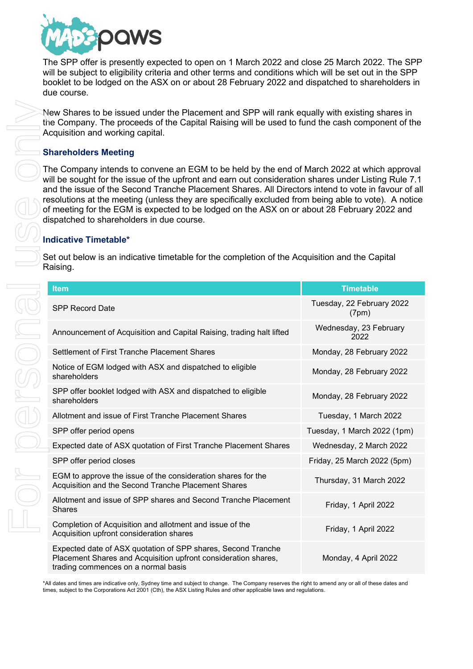

The SPP offer is presently expected to open on 1 March 2022 and close 25 March 2022. The SPP will be subject to eligibility criteria and other terms and conditions which will be set out in the SPP booklet to be lodged on the ASX on or about 28 February 2022 and dispatched to shareholders in due course.

## **Shareholders Meeting**

## **Indicative Timetable\***

|                                                                                                            | New Shares to be issued under the Placement and SPP will rank equally with existing shares in<br>the Company. The proceeds of the Capital Raising will be used to fund the cash component of the<br>Acquisition and working capital.<br><b>Shareholders Meeting</b>                                                                                                                                                                                                                                                                                                                            |                                    |  |
|------------------------------------------------------------------------------------------------------------|------------------------------------------------------------------------------------------------------------------------------------------------------------------------------------------------------------------------------------------------------------------------------------------------------------------------------------------------------------------------------------------------------------------------------------------------------------------------------------------------------------------------------------------------------------------------------------------------|------------------------------------|--|
|                                                                                                            |                                                                                                                                                                                                                                                                                                                                                                                                                                                                                                                                                                                                |                                    |  |
|                                                                                                            | The Company intends to convene an EGM to be held by the end of March 2022 at which approval<br>will be sought for the issue of the upfront and earn out consideration shares under Listing Rule 7.1<br>and the issue of the Second Tranche Placement Shares. All Directors intend to vote in favour of all<br>resolutions at the meeting (unless they are specifically excluded from being able to vote). A notice<br>of meeting for the EGM is expected to be lodged on the ASX on or about 28 February 2022 and<br>dispatched to shareholders in due course.<br><b>Indicative Timetable*</b> |                                    |  |
| Set out below is an indicative timetable for the completion of the Acquisition and the Capital<br>Raising. |                                                                                                                                                                                                                                                                                                                                                                                                                                                                                                                                                                                                |                                    |  |
|                                                                                                            | <b>Item</b>                                                                                                                                                                                                                                                                                                                                                                                                                                                                                                                                                                                    | <b>Timetable</b>                   |  |
|                                                                                                            | <b>SPP Record Date</b>                                                                                                                                                                                                                                                                                                                                                                                                                                                                                                                                                                         | Tuesday, 22 February 2022<br>(7pm) |  |
|                                                                                                            | Announcement of Acquisition and Capital Raising, trading halt lifted                                                                                                                                                                                                                                                                                                                                                                                                                                                                                                                           | Wednesday, 23 February<br>2022     |  |
|                                                                                                            | Settlement of First Tranche Placement Shares                                                                                                                                                                                                                                                                                                                                                                                                                                                                                                                                                   | Monday, 28 February 2022           |  |
|                                                                                                            | Notice of EGM lodged with ASX and dispatched to eligible<br>shareholders                                                                                                                                                                                                                                                                                                                                                                                                                                                                                                                       | Monday, 28 February 2022           |  |
|                                                                                                            | SPP offer booklet lodged with ASX and dispatched to eligible<br>shareholders                                                                                                                                                                                                                                                                                                                                                                                                                                                                                                                   | Monday, 28 February 2022           |  |
|                                                                                                            | Allotment and issue of First Tranche Placement Shares                                                                                                                                                                                                                                                                                                                                                                                                                                                                                                                                          | Tuesday, 1 March 2022              |  |
|                                                                                                            | SPP offer period opens                                                                                                                                                                                                                                                                                                                                                                                                                                                                                                                                                                         | Tuesday, 1 March 2022 (1pm)        |  |
|                                                                                                            | Expected date of ASX quotation of First Tranche Placement Shares                                                                                                                                                                                                                                                                                                                                                                                                                                                                                                                               | Wednesday, 2 March 2022            |  |
| $\frac{1}{\sqrt{2}}$                                                                                       | SPP offer period closes                                                                                                                                                                                                                                                                                                                                                                                                                                                                                                                                                                        | Friday, 25 March 2022 (5pm)        |  |
|                                                                                                            | EGM to approve the issue of the consideration shares for the<br>Acquisition and the Second Tranche Placement Shares                                                                                                                                                                                                                                                                                                                                                                                                                                                                            | Thursday, 31 March 2022            |  |
|                                                                                                            | Allotment and issue of SPP shares and Second Tranche Placement<br><b>Shares</b>                                                                                                                                                                                                                                                                                                                                                                                                                                                                                                                | Friday, 1 April 2022               |  |
|                                                                                                            | Completion of Acquisition and allotment and issue of the<br>Acquisition upfront consideration shares                                                                                                                                                                                                                                                                                                                                                                                                                                                                                           | Friday, 1 April 2022               |  |
|                                                                                                            | Expected date of ASX quotation of SPP shares, Second Tranche<br>Placement Shares and Acquisition upfront consideration shares,<br>trading commences on a normal basis                                                                                                                                                                                                                                                                                                                                                                                                                          | Monday, 4 April 2022               |  |
|                                                                                                            | *All dates and times are indicative only, Sydney time and subject to change. The Company reserves the right to amend any or all of these dates and<br>times, subject to the Corporations Act 2001 (Cth), the ASX Listing Rules and other applicable laws and regulations.                                                                                                                                                                                                                                                                                                                      |                                    |  |